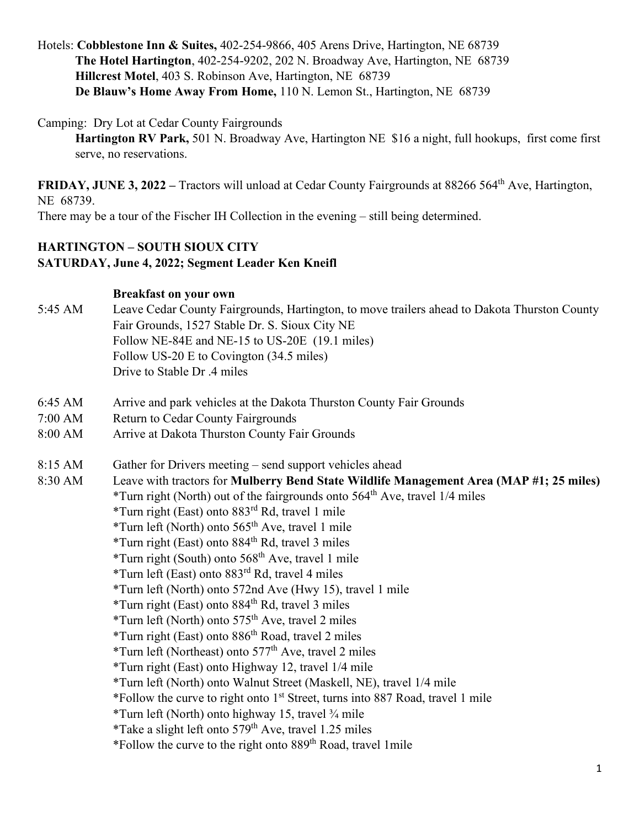Hotels: **Cobblestone Inn & Suites,** 402-254-9866, 405 Arens Drive, Hartington, NE 68739 **The Hotel Hartington**, 402-254-9202, 202 N. Broadway Ave, Hartington, NE 68739 **Hillcrest Motel**, 403 S. Robinson Ave, Hartington, NE 68739 **De Blauw's Home Away From Home,** 110 N. Lemon St., Hartington, NE 68739

Camping: Dry Lot at Cedar County Fairgrounds

**Hartington RV Park,** 501 N. Broadway Ave, Hartington NE \$16 a night, full hookups, first come first serve, no reservations.

**FRIDAY, JUNE 3, 2022** – Tractors will unload at Cedar County Fairgrounds at 88266 564<sup>th</sup> Ave, Hartington, NE 68739.

There may be a tour of the Fischer IH Collection in the evening – still being determined.

## **HARTINGTON – SOUTH SIOUX CITY SATURDAY, June 4, 2022; Segment Leader Ken Kneifl**

## **Breakfast on your own**

- 5:45 AM Leave Cedar County Fairgrounds, Hartington, to move trailers ahead to Dakota Thurston County Fair Grounds, 1527 Stable Dr. S. Sioux City NE Follow NE-84E and NE-15 to US-20E (19.1 miles) Follow US-20 E to Covington (34.5 miles) Drive to Stable Dr .4 miles
- 6:45 AM Arrive and park vehicles at the Dakota Thurston County Fair Grounds
- 7:00 AM Return to Cedar County Fairgrounds
- 8:00 AM Arrive at Dakota Thurston County Fair Grounds
- 8:15 AM Gather for Drivers meeting send support vehicles ahead
- 8:30 AM Leave with tractors for **Mulberry Bend State Wildlife Management Area (MAP #1; 25 miles)** \*Turn right (North) out of the fairgrounds onto  $564<sup>th</sup>$  Ave, travel 1/4 miles
	- \*Turn right (East) onto 883rd Rd, travel 1 mile
		-
		- \*Turn left (North) onto 565th Ave, travel 1 mile
		- \*Turn right (East) onto  $884<sup>th</sup>$  Rd, travel 3 miles
		- \*Turn right (South) onto  $568<sup>th</sup>$  Ave, travel 1 mile
		- \*Turn left (East) onto 883rd Rd, travel 4 miles
		- \*Turn left (North) onto 572nd Ave (Hwy 15), travel 1 mile
		- \*Turn right (East) onto  $884<sup>th</sup>$  Rd, travel 3 miles
		- \*Turn left (North) onto  $575<sup>th</sup>$  Ave, travel 2 miles
		- \*Turn right (East) onto 886th Road, travel 2 miles
		- \*Turn left (Northeast) onto  $577<sup>th</sup>$  Ave, travel 2 miles
		- \*Turn right (East) onto Highway 12, travel 1/4 mile
		- \*Turn left (North) onto Walnut Street (Maskell, NE), travel 1/4 mile
		- \*Follow the curve to right onto 1st Street, turns into 887 Road, travel 1 mile
		- \*Turn left (North) onto highway 15, travel ¾ mile
		- \*Take a slight left onto  $579<sup>th</sup>$  Ave, travel 1.25 miles
		- \*Follow the curve to the right onto 889th Road, travel 1mile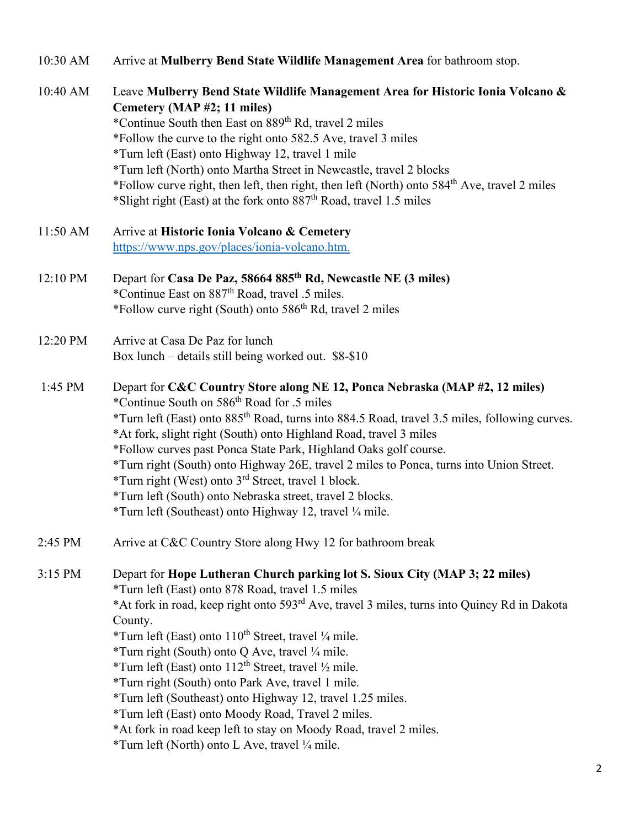| 10:30 AM | Arrive at Mulberry Bend State Wildlife Management Area for bathroom stop.                                                                                                                                                                                         |
|----------|-------------------------------------------------------------------------------------------------------------------------------------------------------------------------------------------------------------------------------------------------------------------|
| 10:40 AM | Leave Mulberry Bend State Wildlife Management Area for Historic Ionia Volcano &<br>Cemetery (MAP #2; 11 miles)<br>*Continue South then East on 889 <sup>th</sup> Rd, travel 2 miles<br>*Follow the curve to the right onto 582.5 Ave, travel 3 miles              |
|          | *Turn left (East) onto Highway 12, travel 1 mile                                                                                                                                                                                                                  |
|          | *Turn left (North) onto Martha Street in Newcastle, travel 2 blocks<br>*Follow curve right, then left, then right, then left (North) onto 584 <sup>th</sup> Ave, travel 2 miles<br>*Slight right (East) at the fork onto 887 <sup>th</sup> Road, travel 1.5 miles |
| 11:50 AM | Arrive at Historic Ionia Volcano & Cemetery                                                                                                                                                                                                                       |
|          | https://www.nps.gov/places/ionia-volcano.htm.                                                                                                                                                                                                                     |
| 12:10 PM | Depart for Casa De Paz, 58664 885 <sup>th</sup> Rd, Newcastle NE (3 miles)                                                                                                                                                                                        |
|          | *Continue East on 887 <sup>th</sup> Road, travel .5 miles.                                                                                                                                                                                                        |
|          | *Follow curve right (South) onto 586 <sup>th</sup> Rd, travel 2 miles                                                                                                                                                                                             |
| 12:20 PM | Arrive at Casa De Paz for lunch                                                                                                                                                                                                                                   |
|          | Box lunch - details still being worked out. \$8-\$10                                                                                                                                                                                                              |
| 1:45 PM  | Depart for C&C Country Store along NE 12, Ponca Nebraska (MAP #2, 12 miles)<br>*Continue South on 586 <sup>th</sup> Road for .5 miles                                                                                                                             |
|          | *Turn left (East) onto 885 <sup>th</sup> Road, turns into 884.5 Road, travel 3.5 miles, following curves.<br>*At fork, slight right (South) onto Highland Road, travel 3 miles                                                                                    |
|          | *Follow curves past Ponca State Park, Highland Oaks golf course.<br>*Turn right (South) onto Highway 26E, travel 2 miles to Ponca, turns into Union Street.                                                                                                       |
|          | *Turn right (West) onto 3 <sup>rd</sup> Street, travel 1 block.                                                                                                                                                                                                   |
|          | *Turn left (South) onto Nebraska street, travel 2 blocks.                                                                                                                                                                                                         |
|          | *Turn left (Southeast) onto Highway 12, travel 1/4 mile.                                                                                                                                                                                                          |
| 2:45 PM  | Arrive at C&C Country Store along Hwy 12 for bathroom break                                                                                                                                                                                                       |
| 3:15 PM  | Depart for Hope Lutheran Church parking lot S. Sioux City (MAP 3; 22 miles)                                                                                                                                                                                       |
|          | *Turn left (East) onto 878 Road, travel 1.5 miles                                                                                                                                                                                                                 |
|          | *At fork in road, keep right onto 593 <sup>rd</sup> Ave, travel 3 miles, turns into Quincy Rd in Dakota<br>County.                                                                                                                                                |
|          | *Turn left (East) onto 110 <sup>th</sup> Street, travel 1/4 mile.                                                                                                                                                                                                 |
|          | *Turn right (South) onto Q Ave, travel 1/4 mile.                                                                                                                                                                                                                  |
|          | *Turn left (East) onto 112 <sup>th</sup> Street, travel 1/2 mile.                                                                                                                                                                                                 |
|          | *Turn right (South) onto Park Ave, travel 1 mile.                                                                                                                                                                                                                 |
|          | *Turn left (Southeast) onto Highway 12, travel 1.25 miles.                                                                                                                                                                                                        |
|          | *Turn left (East) onto Moody Road, Travel 2 miles.                                                                                                                                                                                                                |
|          | *At fork in road keep left to stay on Moody Road, travel 2 miles.<br>*Turn left (North) onto L Ave, travel 1/4 mile.                                                                                                                                              |
|          |                                                                                                                                                                                                                                                                   |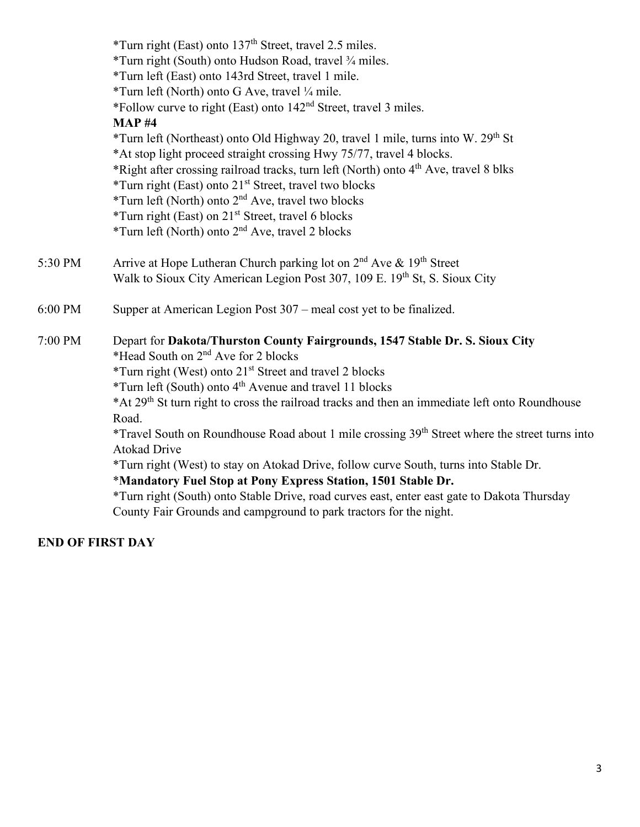|         | *Turn right (East) onto 137 <sup>th</sup> Street, travel 2.5 miles.                                        |
|---------|------------------------------------------------------------------------------------------------------------|
|         | *Turn right (South) onto Hudson Road, travel 3/4 miles.                                                    |
|         | *Turn left (East) onto 143rd Street, travel 1 mile.                                                        |
|         | *Turn left (North) onto G Ave, travel 1/4 mile.                                                            |
|         | *Follow curve to right (East) onto 142 <sup>nd</sup> Street, travel 3 miles.                               |
|         | <b>MAP#4</b>                                                                                               |
|         | *Turn left (Northeast) onto Old Highway 20, travel 1 mile, turns into W. 29 <sup>th</sup> St               |
|         | *At stop light proceed straight crossing Hwy 75/77, travel 4 blocks.                                       |
|         | *Right after crossing railroad tracks, turn left (North) onto 4 <sup>th</sup> Ave, travel 8 blks           |
|         | *Turn right (East) onto 21 <sup>st</sup> Street, travel two blocks                                         |
|         | *Turn left (North) onto 2 <sup>nd</sup> Ave, travel two blocks                                             |
|         | *Turn right (East) on 21 <sup>st</sup> Street, travel 6 blocks                                             |
|         | *Turn left (North) onto 2 <sup>nd</sup> Ave, travel 2 blocks                                               |
| 5:30 PM | Arrive at Hope Lutheran Church parking lot on $2nd$ Ave & 19 <sup>th</sup> Street                          |
|         | Walk to Sioux City American Legion Post 307, 109 E. 19th St, S. Sioux City                                 |
| 6:00 PM | Supper at American Legion Post 307 – meal cost yet to be finalized.                                        |
| 7:00 PM | Depart for Dakota/Thurston County Fairgrounds, 1547 Stable Dr. S. Sioux City                               |
|         | *Head South on 2 <sup>nd</sup> Ave for 2 blocks                                                            |
|         | *Turn right (West) onto 21 <sup>st</sup> Street and travel 2 blocks                                        |
|         | *Turn left (South) onto 4 <sup>th</sup> Avenue and travel 11 blocks                                        |
|         | *At 29 <sup>th</sup> St turn right to cross the railroad tracks and then an immediate left onto Roundhouse |
|         | Road.                                                                                                      |
|         | *Travel South on Roundhouse Road about 1 mile crossing 39 <sup>th</sup> Street where the street turns into |
|         | <b>Atokad Drive</b>                                                                                        |
|         | *Turn right (West) to stay on Atokad Drive, follow curve South, turns into Stable Dr.                      |
|         | *Mandatory Fuel Stop at Pony Express Station, 1501 Stable Dr.                                              |
|         | *Turn right (South) onto Stable Drive, road curves east, enter east gate to Dakota Thursday                |
|         | County Fair Grounds and campground to park tractors for the night.                                         |

# **END OF FIRST DAY**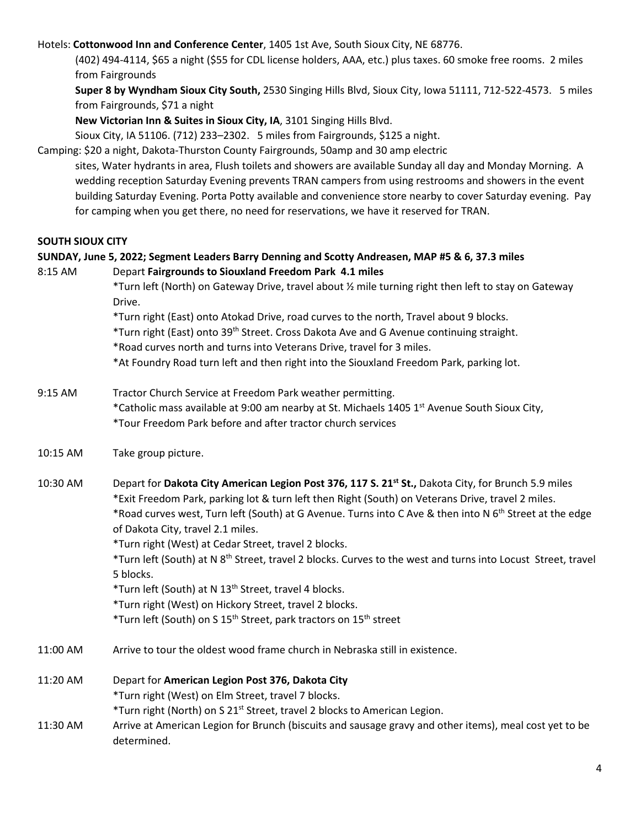#### Hotels: **Cottonwood Inn and Conference Center**, 1405 1st Ave, South Sioux City, NE 68776.

(402) 494-4114, \$65 a night (\$55 for CDL license holders, AAA, etc.) plus taxes. 60 smoke free rooms. 2 miles from Fairgrounds

**Super 8 by Wyndham Sioux City South,** 2530 Singing Hills Blvd, Sioux City, Iowa 51111, 712-522-4573. 5 miles from Fairgrounds, \$71 a night

**New Victorian Inn & Suites in Sioux City, IA**, 3101 Singing Hills Blvd.

Sioux City, IA 51106. (712) 233–2302. 5 miles from Fairgrounds, \$125 a night.

Camping: \$20 a night, Dakota-Thurston County Fairgrounds, 50amp and 30 amp electric

sites, Water hydrants in area, Flush toilets and showers are available Sunday all day and Monday Morning. A wedding reception Saturday Evening prevents TRAN campers from using restrooms and showers in the event building Saturday Evening. Porta Potty available and convenience store nearby to cover Saturday evening. Pay for camping when you get there, no need for reservations, we have it reserved for TRAN.

#### **SOUTH SIOUX CITY**

#### **SUNDAY, June 5, 2022; Segment Leaders Barry Denning and Scotty Andreasen, MAP #5 & 6, 37.3 miles**

| 8:15 AM  | Depart Fairgrounds to Siouxland Freedom Park 4.1 miles                                                                   |
|----------|--------------------------------------------------------------------------------------------------------------------------|
|          | *Turn left (North) on Gateway Drive, travel about 1/2 mile turning right then left to stay on Gateway                    |
|          | Drive.                                                                                                                   |
|          | *Turn right (East) onto Atokad Drive, road curves to the north, Travel about 9 blocks.                                   |
|          | *Turn right (East) onto 39 <sup>th</sup> Street. Cross Dakota Ave and G Avenue continuing straight.                      |
|          | *Road curves north and turns into Veterans Drive, travel for 3 miles.                                                    |
|          | *At Foundry Road turn left and then right into the Siouxland Freedom Park, parking lot.                                  |
|          |                                                                                                                          |
| 9:15 AM  | Tractor Church Service at Freedom Park weather permitting.                                                               |
|          | *Catholic mass available at 9:00 am nearby at St. Michaels 1405 1 <sup>st</sup> Avenue South Sioux City,                 |
|          | *Tour Freedom Park before and after tractor church services                                                              |
| 10:15 AM | Take group picture.                                                                                                      |
|          |                                                                                                                          |
| 10:30 AM | Depart for Dakota City American Legion Post 376, 117 S. 21 <sup>st</sup> St., Dakota City, for Brunch 5.9 miles          |
|          | *Exit Freedom Park, parking lot & turn left then Right (South) on Veterans Drive, travel 2 miles.                        |
|          | *Road curves west, Turn left (South) at G Avenue. Turns into C Ave & then into N 6 <sup>th</sup> Street at the edge      |
|          | of Dakota City, travel 2.1 miles.                                                                                        |
|          | *Turn right (West) at Cedar Street, travel 2 blocks.                                                                     |
|          | *Turn left (South) at N 8 <sup>th</sup> Street, travel 2 blocks. Curves to the west and turns into Locust Street, travel |
|          | 5 blocks.                                                                                                                |
|          | *Turn left (South) at N 13 <sup>th</sup> Street, travel 4 blocks.                                                        |
|          | *Turn right (West) on Hickory Street, travel 2 blocks.                                                                   |
|          | *Turn left (South) on S 15 <sup>th</sup> Street, park tractors on 15 <sup>th</sup> street                                |
| 11:00 AM | Arrive to tour the oldest wood frame church in Nebraska still in existence.                                              |
| 11:20 AM | Depart for American Legion Post 376, Dakota City                                                                         |
|          | *Turn right (West) on Elm Street, travel 7 blocks.                                                                       |
|          | *Turn right (North) on S 21 <sup>st</sup> Street, travel 2 blocks to American Legion.                                    |
| 11:30 AM | Arrive at American Legion for Brunch (biscuits and sausage gravy and other items), meal cost yet to be                   |
|          | determined.                                                                                                              |
|          |                                                                                                                          |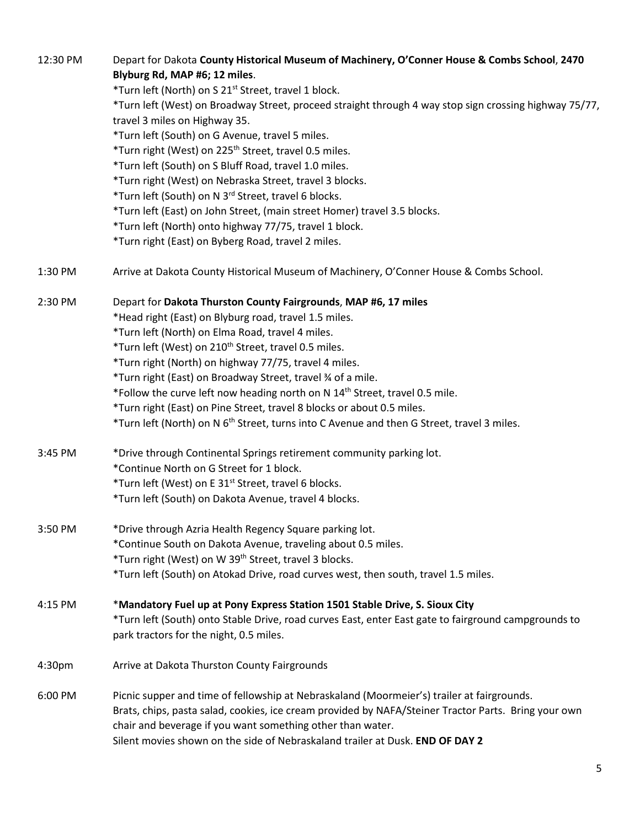| 12:30 PM | Depart for Dakota County Historical Museum of Machinery, O'Conner House & Combs School, 2470           |
|----------|--------------------------------------------------------------------------------------------------------|
|          | Blyburg Rd, MAP #6; 12 miles.                                                                          |
|          | *Turn left (North) on S 21 <sup>st</sup> Street, travel 1 block.                                       |
|          | *Turn left (West) on Broadway Street, proceed straight through 4 way stop sign crossing highway 75/77, |
|          | travel 3 miles on Highway 35.                                                                          |
|          | *Turn left (South) on G Avenue, travel 5 miles.                                                        |
|          | *Turn right (West) on 225 <sup>th</sup> Street, travel 0.5 miles.                                      |
|          | *Turn left (South) on S Bluff Road, travel 1.0 miles.                                                  |
|          | *Turn right (West) on Nebraska Street, travel 3 blocks.                                                |
|          | *Turn left (South) on N 3rd Street, travel 6 blocks.                                                   |
|          | *Turn left (East) on John Street, (main street Homer) travel 3.5 blocks.                               |
|          | *Turn left (North) onto highway 77/75, travel 1 block.                                                 |
|          | *Turn right (East) on Byberg Road, travel 2 miles.                                                     |
|          |                                                                                                        |
| 1:30 PM  | Arrive at Dakota County Historical Museum of Machinery, O'Conner House & Combs School.                 |
| 2:30 PM  | Depart for Dakota Thurston County Fairgrounds, MAP #6, 17 miles                                        |
|          | *Head right (East) on Blyburg road, travel 1.5 miles.                                                  |
|          | *Turn left (North) on Elma Road, travel 4 miles.                                                       |
|          | *Turn left (West) on 210 <sup>th</sup> Street, travel 0.5 miles.                                       |
|          | *Turn right (North) on highway 77/75, travel 4 miles.                                                  |
|          | *Turn right (East) on Broadway Street, travel 34 of a mile.                                            |
|          | *Follow the curve left now heading north on N 14 <sup>th</sup> Street, travel 0.5 mile.                |
|          | *Turn right (East) on Pine Street, travel 8 blocks or about 0.5 miles.                                 |
|          | *Turn left (North) on N 6 <sup>th</sup> Street, turns into C Avenue and then G Street, travel 3 miles. |
|          |                                                                                                        |
| 3:45 PM  | *Drive through Continental Springs retirement community parking lot.                                   |
|          | *Continue North on G Street for 1 block.                                                               |
|          | *Turn left (West) on E 31 <sup>st</sup> Street, travel 6 blocks.                                       |
|          | *Turn left (South) on Dakota Avenue, travel 4 blocks.                                                  |
| 3:50 PM  | *Drive through Azria Health Regency Square parking lot.                                                |
|          |                                                                                                        |
|          | *Continue South on Dakota Avenue, traveling about 0.5 miles.                                           |
|          | *Turn right (West) on W 39 <sup>th</sup> Street, travel 3 blocks.                                      |
|          | *Turn left (South) on Atokad Drive, road curves west, then south, travel 1.5 miles.                    |
| 4:15 PM  | *Mandatory Fuel up at Pony Express Station 1501 Stable Drive, S. Sioux City                            |
|          | *Turn left (South) onto Stable Drive, road curves East, enter East gate to fairground campgrounds to   |
|          | park tractors for the night, 0.5 miles.                                                                |
| 4:30pm   | Arrive at Dakota Thurston County Fairgrounds                                                           |
| 6:00 PM  | Picnic supper and time of fellowship at Nebraskaland (Moormeier's) trailer at fairgrounds.             |
|          | Brats, chips, pasta salad, cookies, ice cream provided by NAFA/Steiner Tractor Parts. Bring your own   |
|          | chair and beverage if you want something other than water.                                             |
|          | Silent movies shown on the side of Nebraskaland trailer at Dusk. END OF DAY 2                          |
|          |                                                                                                        |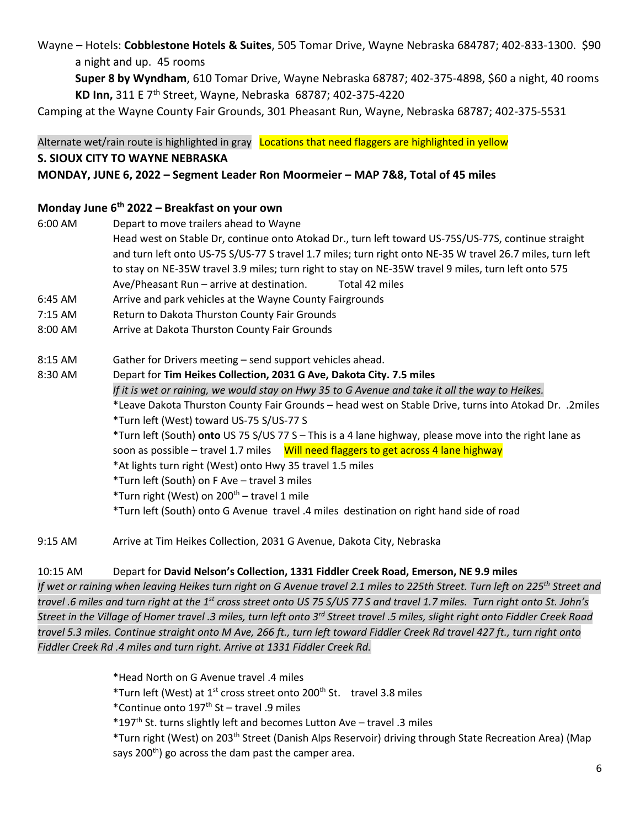Wayne – Hotels: **Cobblestone Hotels & Suites**, 505 Tomar Drive, Wayne Nebraska 684787; 402-833-1300. \$90 a night and up. 45 rooms

**Super 8 by Wyndham**, 610 Tomar Drive, Wayne Nebraska 68787; 402-375-4898, \$60 a night, 40 rooms **KD Inn,** 311 E 7th Street, Wayne, Nebraska 68787; 402-375-4220

Camping at the Wayne County Fair Grounds, 301 Pheasant Run, Wayne, Nebraska 68787; 402-375-5531

Alternate wet/rain route is highlighted in gray Locations that need flaggers are highlighted in yellow

#### **S. SIOUX CITY TO WAYNE NEBRASKA**

### **MONDAY, JUNE 6, 2022 – Segment Leader Ron Moormeier – MAP 7&8, Total of 45 miles**

#### **Monday June 6th 2022 – Breakfast on your own**

- 6:00 AM Depart to move trailers ahead to Wayne
- Head west on Stable Dr, continue onto Atokad Dr., turn left toward US-75S/US-77S, continue straight and turn left onto US-75 S/US-77 S travel 1.7 miles; turn right onto NE-35 W travel 26.7 miles, turn left to stay on NE-35W travel 3.9 miles; turn right to stay on NE-35W travel 9 miles, turn left onto 575 Ave/Pheasant Run – arrive at destination. Total 42 miles
- 6:45 AM Arrive and park vehicles at the Wayne County Fairgrounds
- 7:15 AM Return to Dakota Thurston County Fair Grounds
- 8:00 AM Arrive at Dakota Thurston County Fair Grounds
- 8:15 AM Gather for Drivers meeting send support vehicles ahead.
- 8:30 AM Depart for **Tim Heikes Collection, 2031 G Ave, Dakota City. 7.5 miles**  *If it is wet or raining, we would stay on Hwy 35 to G Avenue and take it all the way to Heikes.*  \*Leave Dakota Thurston County Fair Grounds – head west on Stable Drive, turns into Atokad Dr. .2miles \*Turn left (West) toward US-75 S/US-77 S \*Turn left (South) **onto** US 75 S/US 77 S – This is a 4 lane highway, please move into the right lane as soon as possible – travel 1.7 miles Will need flaggers to get across 4 lane highway \*At lights turn right (West) onto Hwy 35 travel 1.5 miles \*Turn left (South) on F Ave – travel 3 miles \*Turn right (West) on  $200<sup>th</sup>$  – travel 1 mile \*Turn left (South) onto G Avenue travel .4 miles destination on right hand side of road
- 9:15 AM Arrive at Tim Heikes Collection, 2031 G Avenue, Dakota City, Nebraska

#### 10:15 AM Depart for **David Nelson's Collection, 1331 Fiddler Creek Road, Emerson, NE 9.9 miles**

*If wet or raining when leaving Heikes turn right on G Avenue travel 2.1 miles to 225th Street. Turn left on 225th Street and travel .6 miles and turn right at the 1st cross street onto US 75 S/US 77 S and travel 1.7 miles. Turn right onto St. John's Street in the Village of Homer travel .3 miles, turn left onto 3rd Street travel .5 miles, slight right onto Fiddler Creek Road travel 5.3 miles. Continue straight onto M Ave, 266 ft., turn left toward Fiddler Creek Rd travel 427 ft., turn right onto Fiddler Creek Rd .4 miles and turn right. Arrive at 1331 Fiddler Creek Rd.*

\*Head North on G Avenue travel .4 miles

\*Turn left (West) at  $1^{st}$  cross street onto 200<sup>th</sup> St. travel 3.8 miles

\*Continue onto  $197<sup>th</sup>$  St – travel .9 miles

\*197<sup>th</sup> St. turns slightly left and becomes Lutton Ave - travel .3 miles

 \*Turn right (West) on 203th Street (Danish Alps Reservoir) driving through State Recreation Area) (Map says  $200<sup>th</sup>$ ) go across the dam past the camper area.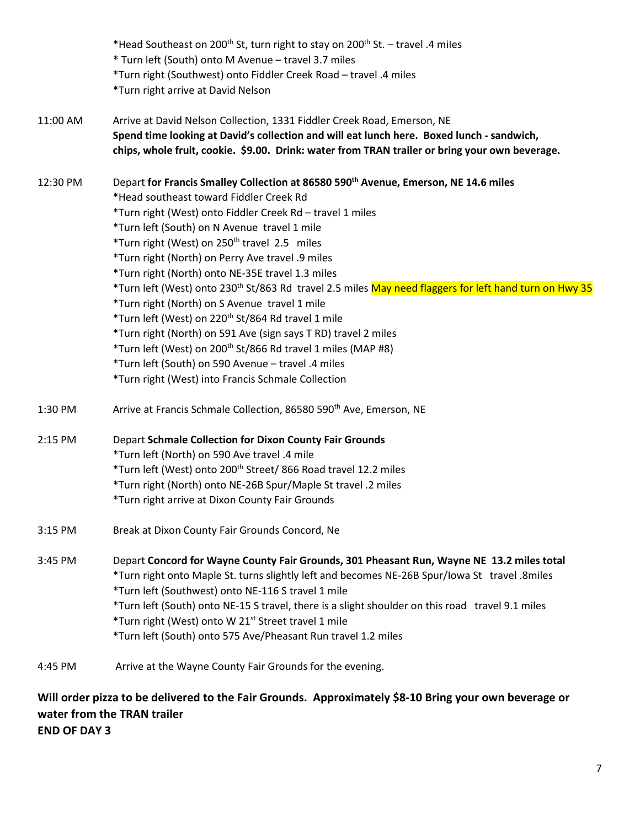| * Turn left (South) onto M Avenue - travel 3.7 miles<br>*Turn right (Southwest) onto Fiddler Creek Road - travel .4 miles<br>*Turn right arrive at David Nelson |
|-----------------------------------------------------------------------------------------------------------------------------------------------------------------|
|                                                                                                                                                                 |
|                                                                                                                                                                 |
|                                                                                                                                                                 |
| Arrive at David Nelson Collection, 1331 Fiddler Creek Road, Emerson, NE                                                                                         |
| Spend time looking at David's collection and will eat lunch here. Boxed lunch - sandwich,                                                                       |
| chips, whole fruit, cookie. \$9.00. Drink: water from TRAN trailer or bring your own beverage.                                                                  |
| Depart for Francis Smalley Collection at 86580 590 <sup>th</sup> Avenue, Emerson, NE 14.6 miles                                                                 |
| *Head southeast toward Fiddler Creek Rd                                                                                                                         |
| *Turn right (West) onto Fiddler Creek Rd - travel 1 miles                                                                                                       |
| *Turn left (South) on N Avenue travel 1 mile                                                                                                                    |
| *Turn right (West) on 250 <sup>th</sup> travel 2.5 miles                                                                                                        |
| *Turn right (North) on Perry Ave travel .9 miles                                                                                                                |
| *Turn right (North) onto NE-35E travel 1.3 miles                                                                                                                |
| *Turn left (West) onto 230 <sup>th</sup> St/863 Rd travel 2.5 miles May need flaggers for left hand turn on Hwy 35                                              |
| *Turn right (North) on S Avenue travel 1 mile                                                                                                                   |
| *Turn left (West) on 220 <sup>th</sup> St/864 Rd travel 1 mile                                                                                                  |
| *Turn right (North) on 591 Ave (sign says T RD) travel 2 miles                                                                                                  |
| *Turn left (West) on 200 <sup>th</sup> St/866 Rd travel 1 miles (MAP #8)                                                                                        |
| *Turn left (South) on 590 Avenue - travel .4 miles                                                                                                              |
| *Turn right (West) into Francis Schmale Collection                                                                                                              |
| Arrive at Francis Schmale Collection, 86580 590 <sup>th</sup> Ave, Emerson, NE                                                                                  |
| <b>Depart Schmale Collection for Dixon County Fair Grounds</b>                                                                                                  |
| *Turn left (North) on 590 Ave travel .4 mile                                                                                                                    |
| *Turn left (West) onto 200 <sup>th</sup> Street/ 866 Road travel 12.2 miles                                                                                     |
| *Turn right (North) onto NE-26B Spur/Maple St travel .2 miles                                                                                                   |
| *Turn right arrive at Dixon County Fair Grounds                                                                                                                 |
| Break at Dixon County Fair Grounds Concord, Ne                                                                                                                  |
| Depart Concord for Wayne County Fair Grounds, 301 Pheasant Run, Wayne NE 13.2 miles total                                                                       |
| *Turn right onto Maple St. turns slightly left and becomes NE-26B Spur/lowa St travel .8miles                                                                   |
| *Turn left (Southwest) onto NE-116 S travel 1 mile                                                                                                              |
| *Turn left (South) onto NE-15 S travel, there is a slight shoulder on this road travel 9.1 miles                                                                |
| *Turn right (West) onto W 21 <sup>st</sup> Street travel 1 mile                                                                                                 |
| *Turn left (South) onto 575 Ave/Pheasant Run travel 1.2 miles                                                                                                   |
| Arrive at the Wayne County Fair Grounds for the evening.                                                                                                        |
| Will order pizza to be delivered to the Fair Grounds. Approximately \$8-10 Bring your own beverage or                                                           |

**water from the TRAN trailer** 

**END OF DAY 3**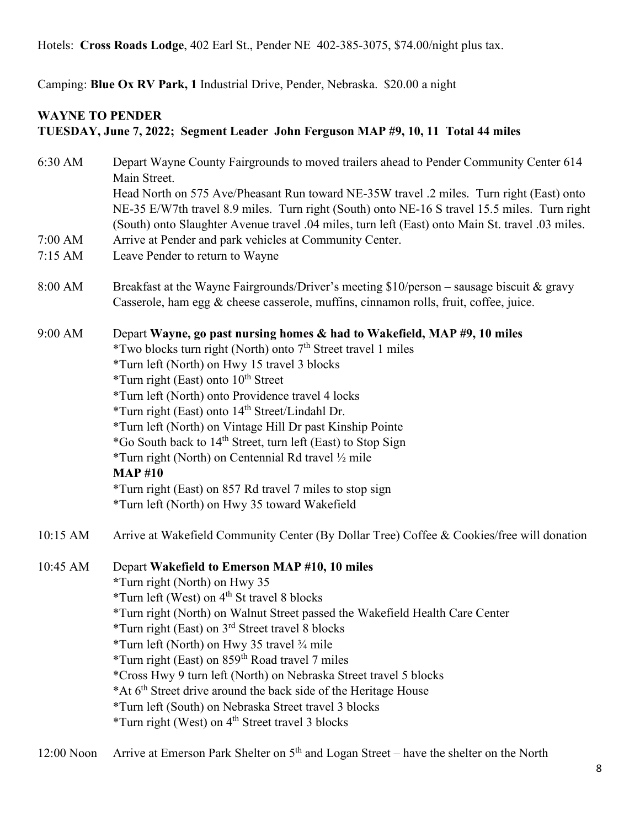Hotels: **Cross Roads Lodge**, 402 Earl St., Pender NE 402-385-3075, \$74.00/night plus tax.

Camping: **Blue Ox RV Park, 1** Industrial Drive, Pender, Nebraska. \$20.00 a night

# **WAYNE TO PENDER TUESDAY, June 7, 2022; Segment Leader John Ferguson MAP #9, 10, 11 Total 44 miles**

| 6:30 AM  | Depart Wayne County Fairgrounds to moved trailers ahead to Pender Community Center 614<br>Main Street.                                                                                                                                                                                                                                                                                                                                                                                                                                                                                                                                                                                |
|----------|---------------------------------------------------------------------------------------------------------------------------------------------------------------------------------------------------------------------------------------------------------------------------------------------------------------------------------------------------------------------------------------------------------------------------------------------------------------------------------------------------------------------------------------------------------------------------------------------------------------------------------------------------------------------------------------|
|          | Head North on 575 Ave/Pheasant Run toward NE-35W travel .2 miles. Turn right (East) onto<br>NE-35 E/W7th travel 8.9 miles. Turn right (South) onto NE-16 S travel 15.5 miles. Turn right<br>(South) onto Slaughter Avenue travel .04 miles, turn left (East) onto Main St. travel .03 miles.                                                                                                                                                                                                                                                                                                                                                                                          |
| 7:00 AM  | Arrive at Pender and park vehicles at Community Center.                                                                                                                                                                                                                                                                                                                                                                                                                                                                                                                                                                                                                               |
| 7:15 AM  | Leave Pender to return to Wayne                                                                                                                                                                                                                                                                                                                                                                                                                                                                                                                                                                                                                                                       |
| 8:00 AM  | Breakfast at the Wayne Fairgrounds/Driver's meeting \$10/person - sausage biscuit & gravy<br>Casserole, ham egg & cheese casserole, muffins, cinnamon rolls, fruit, coffee, juice.                                                                                                                                                                                                                                                                                                                                                                                                                                                                                                    |
| 9:00 AM  | Depart Wayne, go past nursing homes & had to Wakefield, MAP #9, 10 miles<br>*Two blocks turn right (North) onto 7 <sup>th</sup> Street travel 1 miles<br>*Turn left (North) on Hwy 15 travel 3 blocks<br>*Turn right (East) onto 10 <sup>th</sup> Street<br>*Turn left (North) onto Providence travel 4 locks<br>*Turn right (East) onto 14 <sup>th</sup> Street/Lindahl Dr.<br>*Turn left (North) on Vintage Hill Dr past Kinship Pointe<br>*Go South back to 14 <sup>th</sup> Street, turn left (East) to Stop Sign<br>*Turn right (North) on Centennial Rd travel 1/2 mile<br><b>MAP#10</b><br>*Turn right (East) on 857 Rd travel 7 miles to stop sign                            |
|          | *Turn left (North) on Hwy 35 toward Wakefield                                                                                                                                                                                                                                                                                                                                                                                                                                                                                                                                                                                                                                         |
| 10:15 AM | Arrive at Wakefield Community Center (By Dollar Tree) Coffee & Cookies/free will donation                                                                                                                                                                                                                                                                                                                                                                                                                                                                                                                                                                                             |
| 10:45 AM | Depart Wakefield to Emerson MAP #10, 10 miles<br>*Turn right (North) on Hwy 35<br>*Turn left (West) on 4 <sup>th</sup> St travel 8 blocks<br>*Turn right (North) on Walnut Street passed the Wakefield Health Care Center<br>*Turn right (East) on 3 <sup>rd</sup> Street travel 8 blocks<br>*Turn left (North) on Hwy 35 travel 3/4 mile<br>*Turn right (East) on 859 <sup>th</sup> Road travel 7 miles<br>*Cross Hwy 9 turn left (North) on Nebraska Street travel 5 blocks<br>*At 6 <sup>th</sup> Street drive around the back side of the Heritage House<br>*Turn left (South) on Nebraska Street travel 3 blocks<br>*Turn right (West) on 4 <sup>th</sup> Street travel 3 blocks |
|          |                                                                                                                                                                                                                                                                                                                                                                                                                                                                                                                                                                                                                                                                                       |

12:00 Noon Arrive at Emerson Park Shelter on 5<sup>th</sup> and Logan Street – have the shelter on the North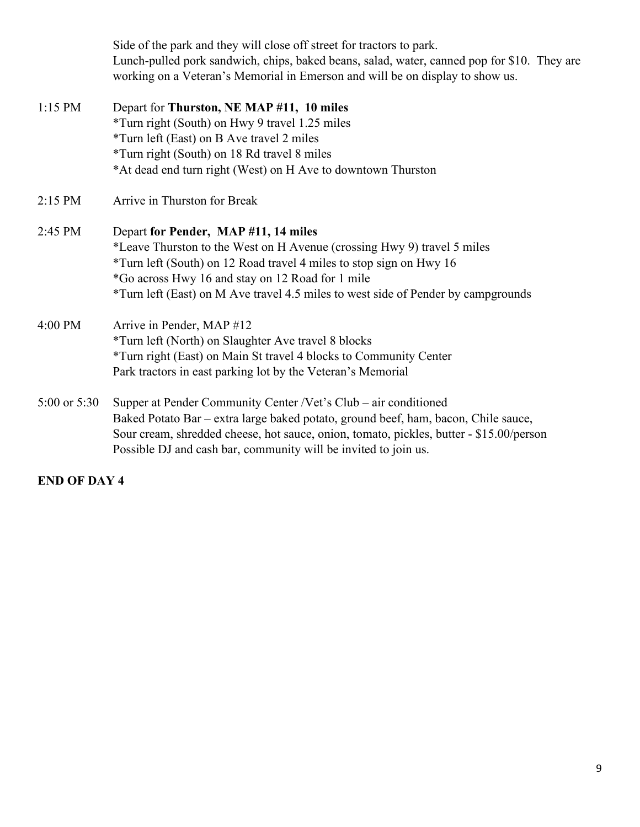Side of the park and they will close off street for tractors to park. Lunch-pulled pork sandwich, chips, baked beans, salad, water, canned pop for \$10. They are working on a Veteran's Memorial in Emerson and will be on display to show us.

| $1:15$ PM        | Depart for Thurston, NE MAP #11, 10 miles                                               |
|------------------|-----------------------------------------------------------------------------------------|
|                  | *Turn right (South) on Hwy 9 travel 1.25 miles                                          |
|                  | *Turn left (East) on B Ave travel 2 miles                                               |
|                  | *Turn right (South) on 18 Rd travel 8 miles                                             |
|                  | *At dead end turn right (West) on H Ave to downtown Thurston                            |
| $2:15$ PM        | Arrive in Thurston for Break                                                            |
| $2:45$ PM        | Depart for Pender, MAP #11, 14 miles                                                    |
|                  | *Leave Thurston to the West on H Avenue (crossing Hwy 9) travel 5 miles                 |
|                  | *Turn left (South) on 12 Road travel 4 miles to stop sign on Hwy 16                     |
|                  | *Go across Hwy 16 and stay on 12 Road for 1 mile                                        |
|                  | *Turn left (East) on M Ave travel 4.5 miles to west side of Pender by campgrounds       |
| 4:00 PM          | Arrive in Pender, MAP #12                                                               |
|                  | *Turn left (North) on Slaughter Ave travel 8 blocks                                     |
|                  | *Turn right (East) on Main St travel 4 blocks to Community Center                       |
|                  | Park tractors in east parking lot by the Veteran's Memorial                             |
| $5:00$ or $5:30$ | Supper at Pender Community Center /Vet's Club – air conditioned                         |
|                  | Baked Potato Bar – extra large baked potato, ground beef, ham, bacon, Chile sauce,      |
|                  | Sour cream, shredded cheese, hot sauce, onion, tomato, pickles, butter - \$15.00/person |
|                  | Possible DJ and cash bar, community will be invited to join us.                         |

## **END OF DAY 4**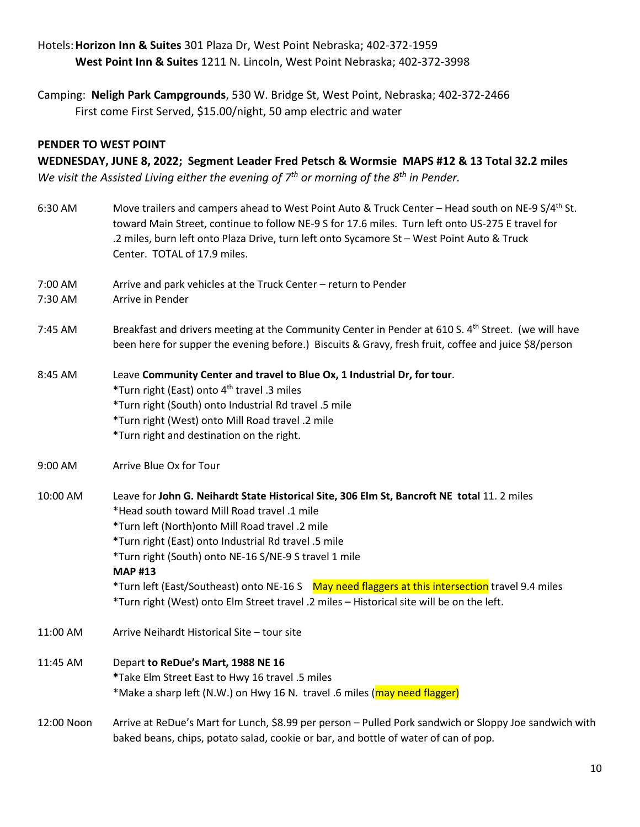## Hotels:**Horizon Inn & Suites** 301 Plaza Dr, West Point Nebraska; 402-372-1959 **West Point Inn & Suites** 1211 N. Lincoln, West Point Nebraska; 402-372-3998

Camping: **Neligh Park Campgrounds**, 530 W. Bridge St, West Point, Nebraska; 402-372-2466 First come First Served, \$15.00/night, 50 amp electric and water

### **PENDER TO WEST POINT**

**WEDNESDAY, JUNE 8, 2022; Segment Leader Fred Petsch & Wormsie MAPS #12 & 13 Total 32.2 miles**

*We visit the Assisted Living either the evening of 7th or morning of the 8th in Pender.*

| 6:30 AM    | Move trailers and campers ahead to West Point Auto & Truck Center - Head south on NE-9 S/4 <sup>th</sup> St.<br>toward Main Street, continue to follow NE-9 S for 17.6 miles. Turn left onto US-275 E travel for<br>.2 miles, burn left onto Plaza Drive, turn left onto Sycamore St - West Point Auto & Truck<br>Center. TOTAL of 17.9 miles. |
|------------|------------------------------------------------------------------------------------------------------------------------------------------------------------------------------------------------------------------------------------------------------------------------------------------------------------------------------------------------|
| 7:00 AM    | Arrive and park vehicles at the Truck Center - return to Pender                                                                                                                                                                                                                                                                                |
| 7:30 AM    | Arrive in Pender                                                                                                                                                                                                                                                                                                                               |
| 7:45 AM    | Breakfast and drivers meeting at the Community Center in Pender at 610 S. 4 <sup>th</sup> Street. (we will have<br>been here for supper the evening before.) Biscuits & Gravy, fresh fruit, coffee and juice \$8/person                                                                                                                        |
| 8:45 AM    | Leave Community Center and travel to Blue Ox, 1 Industrial Dr, for tour.<br>*Turn right (East) onto 4 <sup>th</sup> travel .3 miles                                                                                                                                                                                                            |
|            | *Turn right (South) onto Industrial Rd travel .5 mile                                                                                                                                                                                                                                                                                          |
|            | *Turn right (West) onto Mill Road travel .2 mile                                                                                                                                                                                                                                                                                               |
|            | *Turn right and destination on the right.                                                                                                                                                                                                                                                                                                      |
| 9:00 AM    | Arrive Blue Ox for Tour                                                                                                                                                                                                                                                                                                                        |
| 10:00 AM   | Leave for John G. Neihardt State Historical Site, 306 Elm St, Bancroft NE total 11. 2 miles                                                                                                                                                                                                                                                    |
|            | *Head south toward Mill Road travel .1 mile                                                                                                                                                                                                                                                                                                    |
|            | *Turn left (North) onto Mill Road travel .2 mile                                                                                                                                                                                                                                                                                               |
|            | *Turn right (East) onto Industrial Rd travel .5 mile                                                                                                                                                                                                                                                                                           |
|            | *Turn right (South) onto NE-16 S/NE-9 S travel 1 mile                                                                                                                                                                                                                                                                                          |
|            | <b>MAP#13</b>                                                                                                                                                                                                                                                                                                                                  |
|            | *Turn left (East/Southeast) onto NE-16 S May need flaggers at this intersection travel 9.4 miles<br>*Turn right (West) onto Elm Street travel .2 miles - Historical site will be on the left.                                                                                                                                                  |
| 11:00 AM   | Arrive Neihardt Historical Site - tour site                                                                                                                                                                                                                                                                                                    |
| 11:45 AM   | Depart to ReDue's Mart, 1988 NE 16                                                                                                                                                                                                                                                                                                             |
|            | *Take Elm Street East to Hwy 16 travel .5 miles                                                                                                                                                                                                                                                                                                |
|            | *Make a sharp left (N.W.) on Hwy 16 N. travel .6 miles (may need flagger)                                                                                                                                                                                                                                                                      |
| 12:00 Noon | Arrive at ReDue's Mart for Lunch, \$8.99 per person - Pulled Pork sandwich or Sloppy Joe sandwich with<br>baked beans, chips, potato salad, cookie or bar, and bottle of water of can of pop.                                                                                                                                                  |